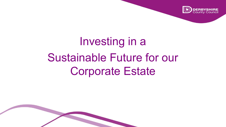

# Investing in a Sustainable Future for our Corporate Estate

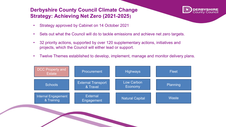#### **Derbyshire County Council Climate Change Strategy: Achieving Net Zero (2021-2025)**



- Strategy approved by Cabinet on 14 October 2021
- Sets out what the Council will do to tackle emissions and achieve net zero targets.
- 32 priority actions, supported by over 120 supplementary actions, initiatives and projects, which the Council will either lead or support.
- Twelve Themes established to develop, implement, manage and monitor delivery plans.



Controlled the Controlled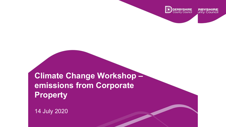

**Climate Change Workshop – emissions from Corporate Property** 

CONTROLLED

14 July 2020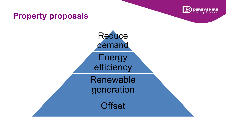

### **Property proposals**

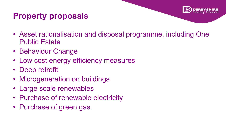### **Property proposals**

- Asset rationalisation and disposal programme, including One Public Estate
- Behaviour Change
- Low cost energy efficiency measures
- Deep retrofit
- Microgeneration on buildings
- Large scale renewables
- Purchase of renewable electricity
- Purchase of green gas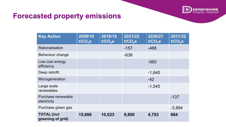

### **Forecasted property emissions**

| <b>Key Action</b>                       | 2009/10<br>t/CO <sub>2</sub> e | 2018/19<br>t/CO <sub>2</sub> e | 2021/22<br>$t/\overline{CO}_2$ e | 2026/27<br>t/CO <sub>2</sub> e | 2031/32<br>$t/CO2$ e |
|-----------------------------------------|--------------------------------|--------------------------------|----------------------------------|--------------------------------|----------------------|
| Rationalisation                         |                                |                                | $-157$                           | $-488$                         |                      |
| Behaviour change                        |                                |                                | $-638$                           |                                |                      |
| Low cost energy<br>efficiency           |                                |                                |                                  | $-950$                         |                      |
| Deep retrofit                           |                                |                                |                                  | $-1,640$                       |                      |
| Microgeneration                         |                                |                                |                                  | $-42$                          |                      |
| Large scale<br>renewables               |                                |                                |                                  | $-1,545$                       |                      |
| Purchase renewable<br>electricity       |                                |                                |                                  |                                | $-137$               |
| Purchase green gas                      |                                |                                |                                  |                                | $-3,894$             |
| <b>TOTAL (incl</b><br>greening of grid) | 15,666                         | 10,023                         | 9,800                            | 4,703                          | 664                  |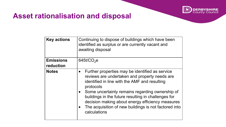

### **Asset rationalisation and disposal**

| <b>Key actions</b>            | Continuing to dispose of buildings which have been<br>identified as surplus or are currently vacant and<br>awaiting disposal                                                                                                                                                                                                                                                                                       |
|-------------------------------|--------------------------------------------------------------------------------------------------------------------------------------------------------------------------------------------------------------------------------------------------------------------------------------------------------------------------------------------------------------------------------------------------------------------|
| <b>Emissions</b><br>reduction | 645t/ $CO2$ e                                                                                                                                                                                                                                                                                                                                                                                                      |
| <b>Notes</b>                  | Further properties may be identified as service<br>$\bullet$<br>reviews are undertaken and property needs are<br>identified in line with the AMF and resulting<br>protocols<br>Some uncertainty remains regarding ownership of<br>buildings in the future resulting in challenges for<br>decision making about energy efficiency measures<br>The acquisition of new buildings is not factored into<br>calculations |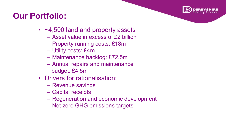

### **Our Portfolio:**

- ~4,500 land and property assets
	- Asset value in excess of £2 billion
	- Property running costs: £18m
	- Utility costs: £4m
	- Maintenance backlog: £72.5m
	- Annual repairs and maintenance budget: £4.5m
- Drivers for rationalisation:
	- Revenue savings
	- Capital receipts
	- Regeneration and economic development
	- Net zero GHG emissions targets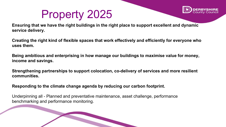## Property 2025



**Ensuring that we have the right buildings in the right place to support excellent and dynamic service delivery.**

**Creating the right kind of flexible spaces that work effectively and efficiently for everyone who uses them.**

**Being ambitious and enterprising in how manage our buildings to maximise value for money, income and savings.**

**Strengthening partnerships to support colocation, co-delivery of services and more resilient communities.**

Controlled the Controlled

**Responding to the climate change agenda by reducing our carbon footprint.**

Underpinning all - Planned and preventative maintenance, asset challenge, performance benchmarking and performance monitoring.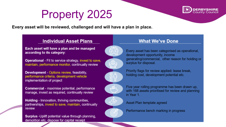## Property 2025



**Every asset will be reviewed, challenged and will have a plan in place.**

#### **Individual Asset Plans**

Each asset will have a plan and be managed according to its category:

**Operational** - Fit to service strategy, invest to save, maintain, performance monitor, continually review

**Development - Options review, feasibility,** performance criteria, development vehicle implementation of project

**Commercial** - maximise potential, performance manage, invest as required, continually review

**Holding - Innovation, thriving communities,** partnerships, invest to save, maintain, continually review

**Surplus** - Uplift potential value through planning, demolition etc, dispose for capital receipt

#### **What We've Done**



∰

Every asset has been categorised as operational, development opportunity, income generating/commercial, other reason for holding or surplus for disposal.



Priority flags for review applied: lease break, holding cost, development potential etc.



Five year rolling programme has been drawn up, with 168 assets prioritised for review and planning in Year 1.



Asset Plan template agreed



Controlled the Controlled

Performance bench marking in progress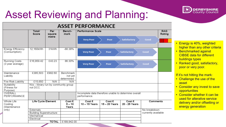## Asset Reviewing and Planning:



| <b>ASSET PERFORMANCE</b>                |                                                   |                                                                      |                                           |                                                                       |                         |                         |                     |                      |
|-----------------------------------------|---------------------------------------------------|----------------------------------------------------------------------|-------------------------------------------|-----------------------------------------------------------------------|-------------------------|-------------------------|---------------------|----------------------|
|                                         | Total/<br>Score                                   | Per<br>Bench-<br><b>Performance Scale</b><br>mark<br>square<br>metre |                                           |                                                                       |                         |                         |                     | <b>RAG</b><br>Rating |
|                                         |                                                   |                                                                      |                                           | <b>Very Poor</b>                                                      | Poor                    | Satisfactory            | Good                |                      |
| Energy Efficiency<br>(Consumption)      | 12,160kWh                                         | 31kWh                                                                | $-88.38%$                                 | <b>Very Poor</b>                                                      | Poor                    | Satisfactory            | Good                |                      |
| Running Costs<br>(3 year average)       | £16,959.42                                        | £43.23                                                               | 86.30%                                    | <b>Very Poor</b>                                                      | Poor                    | Satisfactory            | Good                |                      |
| Maintenance<br>Liability                | £385,503                                          | £982.60                                                              | <b>Benchmark</b><br>not yet<br>determined |                                                                       |                         |                         |                     |                      |
| <b>Fire Risk Liability</b>              | £15,650                                           | N/A                                                                  | N/A                                       |                                                                       |                         |                         |                     |                      |
| Suitability<br>(Fitness for<br>Purpose) | N/a - library run by community group<br>not DCC.  |                                                                      |                                           |                                                                       |                         |                         |                     |                      |
| <b>OVERALL</b><br>PERFORMANCE           |                                                   |                                                                      |                                           | Incomplete data therefore unable to determine overall<br>performance. |                         |                         |                     |                      |
| Whole Life<br>Costing<br>(Maintenance   | Life Cycle Element<br>Cost £<br>$5 - 10$<br>Years |                                                                      |                                           | Cost £<br>10 - 15 Years                                               | Cost £<br>15 - 20 Years | Cost £<br>20 - 25 Years | Comments            |                      |
| only)                                   | Externals                                         |                                                                      |                                           |                                                                       |                         |                         | No breakdown        |                      |
|                                         | <b>Building Superstructure</b>                    |                                                                      |                                           |                                                                       |                         |                         | currently available |                      |
|                                         | Mechanical                                        |                                                                      |                                           |                                                                       |                         |                         |                     |                      |
|                                         | Electrical                                        |                                                                      |                                           |                                                                       |                         |                         |                     |                      |
|                                         |                                                   | <b>TOTAL</b>                                                         | £189,942.00                               |                                                                       |                         |                         |                     |                      |

Controlled the Controlled

- Energy is 40%, weighted higher than any other criteria
- Benchmarked against CIBSE data for different buildings types
- Ranked good, satisfactory, poor or very poor.

#### If it's not hitting the mark:

- Challenge the use of the asset
- Consider any invest to save opportunities
- Consider whether it can be used for alterative service delivery and/or offsetting or energy generation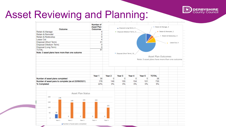

## Asset Reviewing and Planning:

| Outcome<br>Retain & Manage                                              |                                 | Number of<br><b>Asset Plan</b><br>Outcomes |              |                              | Disposal (Long Term), 0_    |             | Retain & Manage, 4<br>Retain & Remodel, 2      |                     |                         |  |  |
|-------------------------------------------------------------------------|---------------------------------|--------------------------------------------|--------------|------------------------------|-----------------------------|-------------|------------------------------------------------|---------------------|-------------------------|--|--|
|                                                                         |                                 | 4                                          |              | · Disposal (Medium Term), 0. |                             |             |                                                |                     |                         |  |  |
| Retain & Remodel<br>Retain & Redevelop                                  |                                 | $\overline{2}$<br>0                        |              |                              |                             |             |                                                |                     | = Retain & Redevelop, 0 |  |  |
|                                                                         |                                 | 4                                          |              |                              |                             |             |                                                |                     |                         |  |  |
|                                                                         | Lease Out                       |                                            | 31           |                              |                             |             |                                                |                     |                         |  |  |
| Disposal (Short Term)<br>Disposal (Medium Term)<br>Disposal (Long Term) |                                 |                                            |              |                              |                             |             |                                                |                     | Lease Out, 4            |  |  |
|                                                                         |                                 | 0                                          |              |                              |                             |             |                                                |                     |                         |  |  |
|                                                                         |                                 | 0<br>41                                    |              |                              |                             |             |                                                |                     |                         |  |  |
| <b>TOTAL</b>                                                            |                                 |                                            |              |                              |                             |             |                                                |                     |                         |  |  |
| Note: 3 asset plans have more than one outcome                          |                                 |                                            |              |                              | " Disposal (Short Term), 31 |             |                                                |                     |                         |  |  |
|                                                                         |                                 |                                            |              |                              |                             |             | Note: 3 asset plans have more than one outcome | Asset Plan Outcomes |                         |  |  |
| Number of asset plans completed                                         |                                 |                                            | Year 1<br>38 | Year <sub>2</sub><br>0       | Year <sub>3</sub><br>0      | Year 4<br>0 | Year 5<br>$\mathbf{0}$                         | <b>TOTAL</b><br>38  |                         |  |  |
| Number of asset pans to complete (as at 22/09/2021)                     |                                 |                                            | 176          | 149                          | 155                         | 154         | 101                                            | 735<br>5%           |                         |  |  |
| % Completed                                                             |                                 | Asset Plan Status                          | 22%          | 0%                           | 0%                          | 0%          | 0%                                             |                     |                         |  |  |
| 200<br>176<br>150                                                       | 149                             | 155                                        | 154          |                              |                             |             |                                                |                     |                         |  |  |
| 100                                                                     |                                 |                                            |              | 101                          |                             |             |                                                |                     |                         |  |  |
| 38<br>50                                                                | 0                               | 0                                          | 0            | 0                            |                             |             |                                                |                     |                         |  |  |
| $\circ$<br>Year 1                                                       | Year 2                          | Year 3                                     | Year 4       | Year 5                       |                             |             |                                                |                     |                         |  |  |
|                                                                         |                                 |                                            |              |                              |                             |             |                                                |                     |                         |  |  |
|                                                                         | Number of asset plans completed |                                            |              |                              |                             |             |                                                |                     |                         |  |  |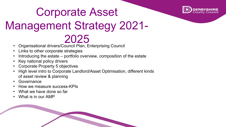

# Corporate Asset Management Strategy 2021- 2025

- Organisational drivers/Council Plan, Enterprising Council
- Links to other corporate strategies
- Introducing the estate portfolio overview, composition of the estate
- Key national policy drivers
- Corporate Property 5 objectives
- High level intro to Corporate Landlord/Asset Optimisation, different kinds of asset review & planning
- **Governance**
- How we measure success-KPIs
- What we have done so far
- What is in our AMP

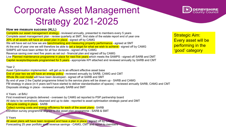## Corporate Asset Management Strategy 2021-2025



#### **How we measure success (ALL)**

Complete our asset management strategy - reviewed annually, presented to members every 5 years Complete asset management plan - review quarterly at SMT, first state of the estate report end of year one 20% of all assets will have an asset plan in place - signed off by CAMG We will have set out how we are **benchmarking and measuring property performance**- agreed at SMT At the end of year one we will therefore be able to set a target for what we wish to achieve - signed off by CAMG SAMPS will have been written for all four divisions - signed off by CAMG Revenue saving over next five years as set out - financial plan and signed off by CAMG Live Planned maintenance programme in place for next five years which meets the SAMPS - signed off SARB and DMT Capital receipts/disposals programmed for 5 years - appropriate KPI attached and reviewed annually by SARB and CMT

#### Year 2

Asset Optimisation implemented - will get us to an efficient effective asset base End of year two we will have an energy policy - reviewed annually by SARB, CAMG and CMT Whole life cost model will have been developed - signed off at SARB and SMT By end of year 2 the Capital programme linked to the service plans will be drawn up - SARB and CAMG FM strategy in place (in 4 years we'll have started to deliver standardisation of spaces) - reviewed annually SARB, CAMG and CMT Disposals strategy in place - reviewed annually SARB and SMT

4 Years - at BAU

First investment projects delivered - overseen by CAMG ad reported to PSP partnership board All data to be centralised, cleansed and up to date - reported to asset optimisation strategic panel and DMT Lifecycle costing in place - SARB

Collect running costs and energy efficiency for each of the asset plans - SARB

Condition survey programme aligned to the asset plan programme - SARB & SMT

#### 5 Years

Forecasting 25 year portfolio wide revenue savings - CAMG, CMT and report to members All asset plans will have been reviewed and have a plan in place - signed off by CAMG

Strategic Aim: Every asset will be performing in the 'good' category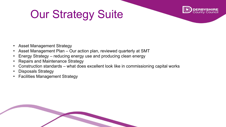# Our Strategy Suite



- Asset Management Strategy
- Asset Management Plan Our action plan, reviewed quarterly at SMT
- Energy Strategy reducing energy use and producing clean energy
- Repairs and Maintenance Strategy
- Construction standards what does excellent look like in commissioning capital works
- Disposals Strategy
- Facilities Management Strategy